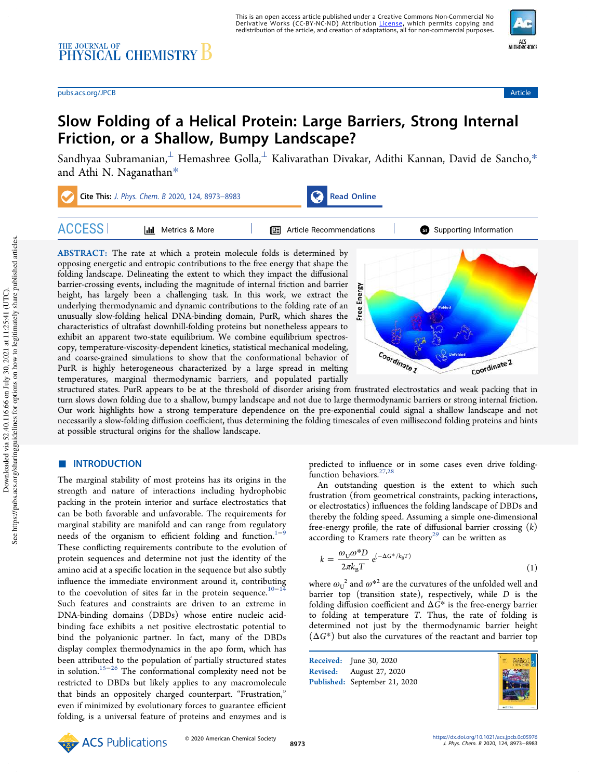

# Slow Folding of a Helical Protein: Large Barriers, Strong Internal Friction, or a Shallow, Bumpy Landscape?

Sandhyaa Subramanian, $^\perp$  Hemashree Golla, $^\perp$  Kalivarathan Divakar, Adithi Kannan, David de Sancho,\* and Athi N. Naganathan\*

| Cite This: J. Phys. Chem. B 2020, 124, 8973-8983 |  |                           | Read Online                       |                        |
|--------------------------------------------------|--|---------------------------|-----------------------------------|------------------------|
|                                                  |  | <b>III</b> Metrics & More | <b>EE</b> Article Recommendations | Supporting Information |

ABSTRACT: The rate at which a protein molecule folds is determined by opposing energetic and entropic contributions to the free energy that shape the folding landscape. Delineating the extent to which they impact the diffusional barrier-crossing events, including the magnitude of internal friction and barrier height, has largely been a challenging task. In this work, we extract the underlying thermodynamic and dynamic contributions to the folding rate of an unusually slow-folding helical DNA-binding domain, PurR, which shares the characteristics of ultrafast downhill-folding proteins but nonetheless appears to exhibit an apparent two-state equilibrium. We combine equilibrium spectroscopy, temperature-viscosity-dependent kinetics, statistical mechanical modeling, and coarse-grained simulations to show that the conformational behavior of PurR is highly heterogeneous characterized by a large spread in melting temperatures, marginal thermodynamic barriers, and populated partially



structured states. PurR appears to be at the threshold of disorder arising from frustrated electrostatics and weak packing that in turn slows down folding due to a shallow, bumpy landscape and not due to large thermodynamic barriers or strong internal friction. Our work highlights how a strong temperature dependence on the pre-exponential could signal a shallow landscape and not necessarily a slow-folding diffusion coefficient, thus determining the folding timescales of even millisecond folding proteins and hints at possible structural origins for the shallow landscape.

# **ENTRODUCTION**

The marginal stability of most proteins has its origins in the strength and nature of interactions including hydrophobic packing in the protein interior and surface electrostatics that can be both favorable and unfavorable. The requirements for marginal stability are manifold and can range from regulatory needs of the organism to efficient folding and function.<sup>1–9</sup> These conflicting requirements contribute to the evolution of protein sequences and determine not just the identity of the amino acid at a specific location in the sequence but also subtly influence the immediate environment around it, contributing to the coevolution of sites far in the protein sequence.<sup>10−14</sup> Such features and constraints are driven to an extreme in DNA-binding domains (DBDs) whose entire nucleic acidbinding face exhibits a net positive electrostatic potential to bind the polyanionic partner. In fact, many of the DBDs display complex thermodynamics in the apo form, which has been attributed to the population of partially structured states in solution.15−<sup>26</sup> The conformational complexity need not be restricted to DBDs but likely applies to any macromolecule that binds an oppositely charged counterpart. "Frustration," even if minimized by evolutionary forces to guarantee efficient folding, is a universal feature of proteins and enzymes and is

predicted to influence or in some cases even drive foldingfunction behaviors.<sup>27,28</sup>

An outstanding question is the extent to which such frustration (from geometrical constraints, packing interactions, or electrostatics) influences the folding landscape of DBDs and thereby the folding speed. Assuming a simple one-dimensional free-energy profile, the rate of diffusional barrier crossing (*k*) according to Kramers rate theory<sup>29</sup> can be written as

$$
k = \frac{\omega_{\rm U} \omega^* D}{2\pi k_{\rm B} T} \,\mathrm{e}^{(-\Delta G^* / k_{\rm B} T)}\tag{1}
$$

where  $\omega_U^2$  and  $\omega^{*2}$  are the curvatures of the unfolded well and barrier top (transition state), respectively, while *D* is the folding diffusion coefficient and Δ*G*\* is the free-energy barrier to folding at temperature *T*. Thus, the rate of folding is determined not just by the thermodynamic barrier height  $(\Delta G^*)$  but also the curvatures of the reactant and barrier top

Received: June 30, 2020 Revised: August 27, 2020 Published: September 21, 2020



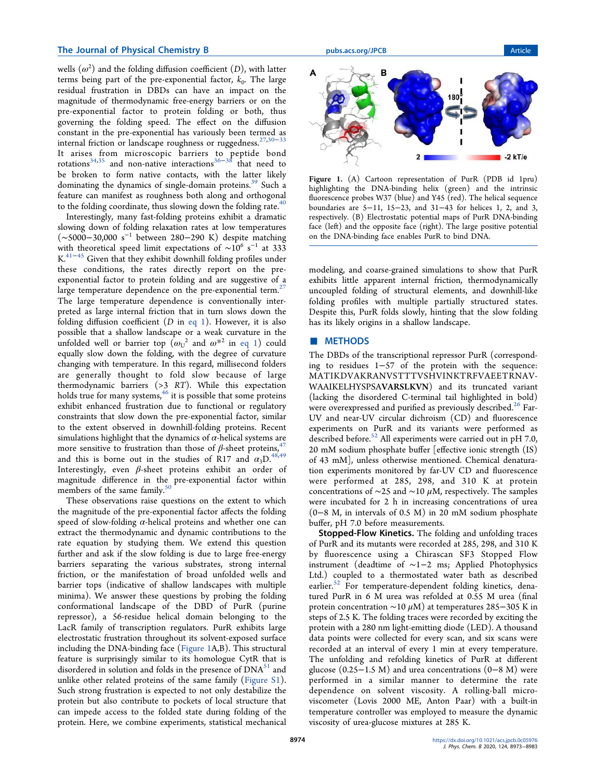wells  $(\omega^2)$  and the folding diffusion coefficient  $(D)$ , with latter terms being part of the pre-exponential factor,  $k_{0}$ . The large residual frustration in DBDs can have an impact on the magnitude of thermodynamic free-energy barriers or on the pre-exponential factor to protein folding or both, thus governing the folding speed. The effect on the diffusion constant in the pre-exponential has variously been termed as internal friction or landscape roughness or ruggedness.27,30−<sup>33</sup> It arises from microscopic barriers to peptide bond<br>rotations<sup>34,35</sup> and non-native interactions<sup>36–38</sup> that need to be broken to form native contacts, with the latter likely dominating the dynamics of single-domain proteins.<sup>39</sup> Such a feature can manifest as roughness both along and orthogonal to the folding coordinate, thus slowing down the folding rate. $40$ 

Interestingly, many fast-folding proteins exhibit a dramatic slowing down of folding relaxation rates at low temperatures (∼5000−30,000 s<sup>−</sup><sup>1</sup> between 280−290 K) despite matching with theoretical speed limit expectations of  $\sim 10^6$  s<sup>-1</sup> at 333  $K<sup>41–45</sup>$  Given that they exhibit downhill folding profiles under these conditions, the rates directly report on the preexponential factor to protein folding and are suggestive of a large temperature dependence on the pre-exponential term.<sup>2</sup> The large temperature dependence is conventionally interpreted as large internal friction that in turn slows down the folding diffusion coefficient (*D* in eq 1). However, it is also possible that a shallow landscape or a weak curvature in the unfolded well or barrier top  $\left(\omega_{\text{U}}\right)^2$  and  $\omega^{*2}$  in eq 1) could equally slow down the folding, with the degree of curvature changing with temperature. In this regard, millisecond folders are generally thought to fold slow because of large thermodynamic barriers (>3 *RT*). While this expectation holds true for many systems,<sup>46</sup> it is possible that some proteins exhibit enhanced frustration due to functional or regulatory constraints that slow down the pre-exponential factor, similar to the extent observed in downhill-folding proteins. Recent simulations highlight that the dynamics of  $\alpha$ -helical systems are more sensitive to frustration than those of  $\beta$ -sheet proteins,<sup>4</sup> and this is borne out in the studies of R17 and  $\alpha_3 D$ .<sup>48,49</sup> Interestingly, even  $\beta$ -sheet proteins exhibit an order of magnitude difference in the pre-exponential factor within members of the same family.<sup>50</sup>

These observations raise questions on the extent to which the magnitude of the pre-exponential factor affects the folding speed of slow-folding  $\alpha$ -helical proteins and whether one can extract the thermodynamic and dynamic contributions to the rate equation by studying them. We extend this question further and ask if the slow folding is due to large free-energy barriers separating the various substrates, strong internal friction, or the manifestation of broad unfolded wells and barrier tops (indicative of shallow landscapes with multiple minima). We answer these questions by probing the folding conformational landscape of the DBD of PurR (purine repressor), a 56-residue helical domain belonging to the LacR family of transcription regulators. PurR exhibits large electrostatic frustration throughout its solvent-exposed surface including the DNA-binding face (Figure 1A,B). This structural feature is surprisingly similar to its homologue CytR that is disordered in solution and folds in the presence of  $\mathrm{DNA}^{\mathrm{S1}}$  and unlike other related proteins of the same family (Figure S1). Such strong frustration is expected to not only destabilize the protein but also contribute to pockets of local structure that can impede access to the folded state during folding of the protein. Here, we combine experiments, statistical mechanical



Figure 1. (A) Cartoon representation of PurR (PDB id 1pru) highlighting the DNA-binding helix (green) and the intrinsic fluorescence probes W37 (blue) and Y45 (red). The helical sequence boundaries are 5−11, 15−23, and 31−43 for helices 1, 2, and 3, respectively. (B) Electrostatic potential maps of PurR DNA-binding face (left) and the opposite face (right). The large positive potential on the DNA-binding face enables PurR to bind DNA.

modeling, and coarse-grained simulations to show that PurR exhibits little apparent internal friction, thermodynamically uncoupled folding of structural elements, and downhill-like folding profiles with multiple partially structured states. Despite this, PurR folds slowly, hinting that the slow folding has its likely origins in a shallow landscape.

# ■ METHODS

The DBDs of the transcriptional repressor PurR (corresponding to residues 1−57 of the protein with the sequence: MATIKDVAKRANVSTTTVSHVINKTRFVAEETRNAV-WAAIKELHYSPSAVARSLKVN) and its truncated variant (lacking the disordered C-terminal tail highlighted in bold) were overexpressed and purified as previously described.<sup>26</sup> Far-UV and near-UV circular dichroism (CD) and fluorescence experiments on PurR and its variants were performed as described before.<sup>52</sup> All experiments were carried out in pH 7.0, 20 mM sodium phosphate buffer [effective ionic strength (IS) of 43 mM], unless otherwise mentioned. Chemical denaturation experiments monitored by far-UV CD and fluorescence were performed at 285, 298, and 310 K at protein concentrations of  $\sim$ 25 and  $\sim$ 10 µM, respectively. The samples were incubated for 2 h in increasing concentrations of urea (0−8 M, in intervals of 0.5 M) in 20 mM sodium phosphate buffer, pH 7.0 before measurements.

Stopped-Flow Kinetics. The folding and unfolding traces of PurR and its mutants were recorded at 285, 298, and 310 K by fluorescence using a Chirascan SF3 Stopped Flow instrument (deadtime of ∼1−2 ms; Applied Photophysics Ltd.) coupled to a thermostated water bath as described earlier.<sup>52</sup> For temperature-dependent folding kinetics, denatured PurR in 6 M urea was refolded at 0.55 M urea (final protein concentration  $\sim$ 10  $\mu$ M) at temperatures 285−305 K in steps of 2.5 K. The folding traces were recorded by exciting the protein with a 280 nm light-emitting diode (LED). A thousand data points were collected for every scan, and six scans were recorded at an interval of every 1 min at every temperature. The unfolding and refolding kinetics of PurR at different glucose (0.25−1.5 M) and urea concentrations (0−8 M) were performed in a similar manner to determine the rate dependence on solvent viscosity. A rolling-ball microviscometer (Lovis 2000 ME, Anton Paar) with a built-in temperature controller was employed to measure the dynamic viscosity of urea-glucose mixtures at 285 K.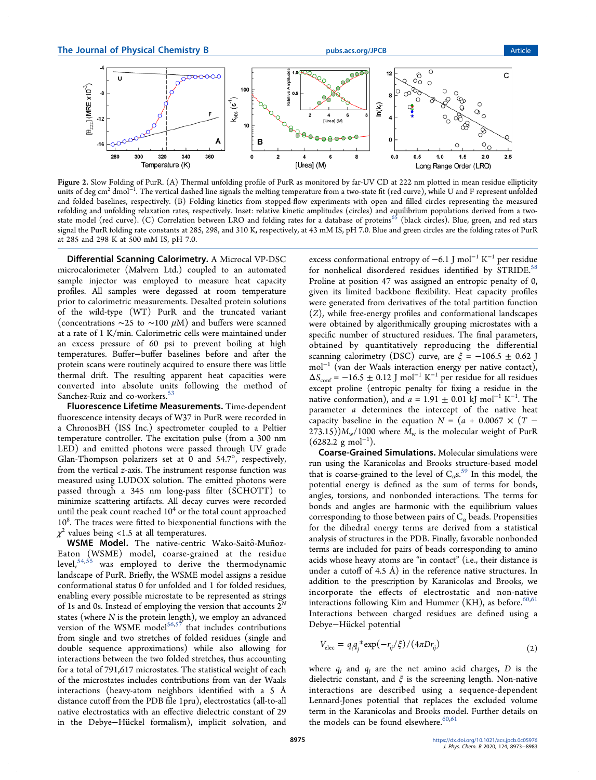

Figure 2. Slow Folding of PurR. (A) Thermal unfolding profile of PurR as monitored by far-UV CD at 222 nm plotted in mean residue ellipticity units of deg cm<sup>2</sup> dmol<sup>−1</sup>. The vertical dashed line signals the melting temperature from a two-state fit (red curve), while U and F represent unfolded and folded baselines, respectively. (B) Folding kinetics from stopped-flow experiments with open and filled circles representing the measured refolding and unfolding relaxation rates, respectively. Inset: relative kinetic amplitudes (circles) and equilibrium populations derived from a twostate model (red curve). (C) Correlation between LRO and folding rates for a database of proteins<sup>65</sup> (black circles). Blue, green, and red stars signal the PurR folding rate constants at 285, 298, and 310 K, respectively, at 43 mM IS, pH 7.0. Blue and green circles are the folding rates of PurR at 285 and 298 K at 500 mM IS, pH 7.0.

Differential Scanning Calorimetry. A Microcal VP-DSC microcalorimeter (Malvern Ltd.) coupled to an automated sample injector was employed to measure heat capacity profiles. All samples were degassed at room temperature prior to calorimetric measurements. Desalted protein solutions of the wild-type (WT) PurR and the truncated variant (concentrations  $\sim$ 25 to  $\sim$ 100 µM) and buffers were scanned at a rate of 1 K/min. Calorimetric cells were maintained under an excess pressure of 60 psi to prevent boiling at high temperatures. Buffer−buffer baselines before and after the protein scans were routinely acquired to ensure there was little thermal drift. The resulting apparent heat capacities were converted into absolute units following the method of Sanchez-Ruiz and co-workers.<sup>53</sup>

Fluorescence Lifetime Measurements. Time-dependent fluorescence intensity decays of W37 in PurR were recorded in a ChronosBH (ISS Inc.) spectrometer coupled to a Peltier temperature controller. The excitation pulse (from a 300 nm LED) and emitted photons were passed through UV grade Glan-Thompson polarizers set at 0 and 54.7°, respectively, from the vertical *z*-axis. The instrument response function was measured using LUDOX solution. The emitted photons were passed through a 345 nm long-pass filter (SCHOTT) to minimize scattering artifacts. All decay curves were recorded until the peak count reached  $10^4$  or the total count approached 10<sup>8</sup>. The traces were fitted to biexponential functions with the  $\chi^2$  values being <1.5 at all temperatures.

WSME Model. The native-centric Wako-Saitô-Muñoz-Eaton (WSME) model, coarse-grained at the residue level,  $54,55$  was employed to derive the thermodynamic landscape of PurR. Briefly, the WSME model assigns a residue conformational status 0 for unfolded and 1 for folded residues, enabling every possible microstate to be represented as strings of 1s and 0s. Instead of employing the version that accounts 2*<sup>N</sup>* states (where *N* is the protein length), we employ an advanced version of the WSME model<sup>56,57</sup> that includes contributions from single and two stretches of folded residues (single and double sequence approximations) while also allowing for interactions between the two folded stretches, thus accounting for a total of 791,617 microstates. The statistical weight of each of the microstates includes contributions from van der Waals interactions (heavy-atom neighbors identified with a 5 Å distance cutoff from the PDB file 1pru), electrostatics (all-to-all native electrostatics with an effective dielectric constant of 29 in the Debye−Hückel formalism), implicit solvation, and

excess conformational entropy of −6.1 J mol<sup>-1</sup> K<sup>-1</sup> per residue for nonhelical disordered residues identified by STRIDE.<sup>58</sup> Proline at position 47 was assigned an entropic penalty of 0, given its limited backbone flexibility. Heat capacity profiles were generated from derivatives of the total partition function (*Z*), while free-energy profiles and conformational landscapes were obtained by algorithmically grouping microstates with a specific number of structured residues. The final parameters, obtained by quantitatively reproducing the differential scanning calorimetry (DSC) curve, are  $\xi = -106.5 \pm 0.62$  J mol<sup>−</sup><sup>1</sup> (van der Waals interaction energy per native contact),  $\Delta S_{\text{conf}} = -16.5 \pm 0.12 \text{ J mol}^{-1} \text{ K}^{-1}$  per residue for all residues except proline (entropic penalty for fixing a residue in the native conformation), and  $a = 1.91 \pm 0.01$  kJ mol<sup>-1</sup> K<sup>-1</sup>. The parameter *a* determines the intercept of the native heat capacity baseline in the equation  $N = (a + 0.0067 \times (T 273.15)$ )*M<sub>w</sub>*/1000 where  $M_w$  is the molecular weight of PurR  $(6282.2 \text{ g mol}^{-1})$ .

Coarse-Grained Simulations. Molecular simulations were run using the Karanicolas and Brooks structure-based model that is coarse-grained to the level of  $C_{\alpha}s$ .<sup>59</sup> In this model, the potential energy is defined as the sum of terms for bonds, angles, torsions, and nonbonded interactions. The terms for bonds and angles are harmonic with the equilibrium values corresponding to those between pairs of  $C_{\alpha}$  beads. Propensities for the dihedral energy terms are derived from a statistical analysis of structures in the PDB. Finally, favorable nonbonded terms are included for pairs of beads corresponding to amino acids whose heavy atoms are "in contact" (i.e., their distance is under a cutoff of  $4.5 \text{ Å}$ ) in the reference native structures. In addition to the prescription by Karanicolas and Brooks, we incorporate the effects of electrostatic and non-native interactions following Kim and Hummer (KH), as before.  $60,61$ Interactions between charged residues are defined using a Debye-Hückel potential

$$
V_{\text{elec}} = q_i q_j^* \exp(-r_{ij}/\xi) / (4\pi D r_{ij})
$$
\n(2)

where  $q_i$  and  $q_j$  are the net amino acid charges,  $D$  is the dielectric constant, and  $\xi$  is the screening length. Non-native interactions are described using a sequence-dependent Lennard-Jones potential that replaces the excluded volume term in the Karanicolas and Brooks model. Further details on the models can be found elsewhere. $60,61$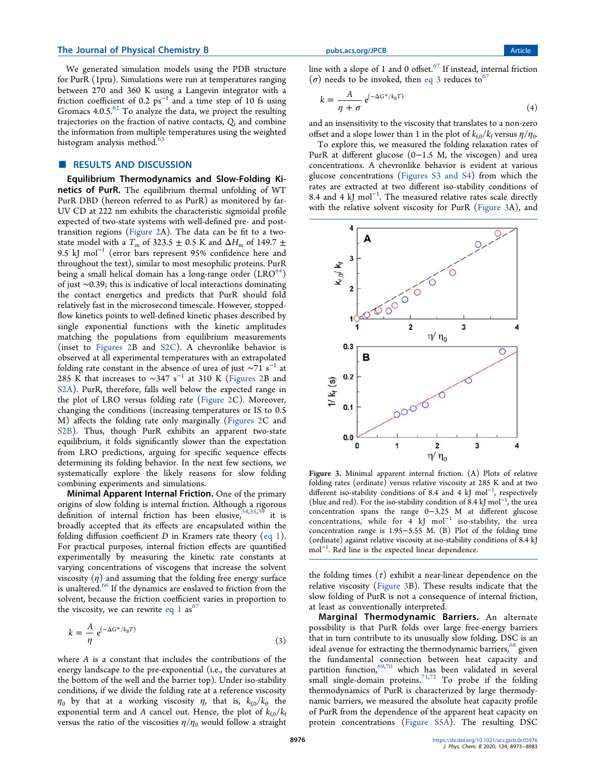We generated simulation models using the PDB structure for PurR (1pru). Simulations were run at temperatures ranging between 270 and 360 K using a Langevin integrator with a friction coefficient of 0.2  $ps^{-1}$  and a time step of 10 fs using Gromacs  $4.0.5$ .<sup>62</sup> To analyze the data, we project the resulting trajectories on the fraction of native contacts, *Q*, and combine the information from multiple temperatures using the weighted histogram analysis method. $63$ 

# ■ RESULTS AND DISCUSSION

Equilibrium Thermodynamics and Slow-Folding Kinetics of PurR. The equilibrium thermal unfolding of WT PurR DBD (hereon referred to as PurR) as monitored by far-UV CD at 222 nm exhibits the characteristic sigmoidal profile expected of two-state systems with well-defined pre- and posttransition regions (Figure 2A). The data can be fit to a twostate model with a  $T_m$  of 323.5  $\pm$  0.5 K and  $\Delta H_m$  of 149.7  $\pm$ 9.5 kJ mol<sup>−</sup><sup>1</sup> (error bars represent 95% confidence here and throughout the text), similar to most mesophilic proteins. PurR being a small helical domain has a long-range order  $(LRO^{64})$ of just ∼0.39; this is indicative of local interactions dominating the contact energetics and predicts that PurR should fold relatively fast in the microsecond timescale. However, stoppedflow kinetics points to well-defined kinetic phases described by single exponential functions with the kinetic amplitudes matching the populations from equilibrium measurements (inset to Figures 2B and S2C). A chevronlike behavior is observed at all experimental temperatures with an extrapolated folding rate constant in the absence of urea of just  $\sim$ 71 s<sup>-1</sup> at 285 K that increases to ~347 s<sup>-1</sup> at 310 K (Figures 2B and S2A). PurR, therefore, falls well below the expected range in the plot of LRO versus folding rate (Figure 2C). Moreover, changing the conditions (increasing temperatures or IS to 0.5 M) affects the folding rate only marginally (Figures 2C and S2B). Thus, though PurR exhibits an apparent two-state equilibrium, it folds significantly slower than the expectation from LRO predictions, arguing for specific sequence effects determining its folding behavior. In the next few sections, we systematically explore the likely reasons for slow folding combining experiments and simulations.

Minimal Apparent Internal Friction. One of the primary origins of slow folding is internal friction. Although a rigorous definition of internal friction has been elusive, 34,35,39 it is broadly accepted that its effects are encapsulated within the folding diffusion coefficient *D* in Kramers rate theory (eq 1). For practical purposes, internal friction effects are quantified experimentally by measuring the kinetic rate constants at varying concentrations of viscogens that increase the solvent viscosity  $(\eta)$  and assuming that the folding free energy surface is unaltered. $66$  If the dynamics are enslaved to friction from the solvent, because the friction coefficient varies in proportion to the viscosity, we can rewrite eq 1  $\text{as}^{67}$ 

$$
k = \frac{A}{\eta} e^{(-\Delta G^* / k_B T)}
$$
\n(3)

where *A* is a constant that includes the contributions of the energy landscape to the pre-exponential (i.e., the curvatures at the bottom of the well and the barrier top). Under iso-stability conditions, if we divide the folding rate at a reference viscosity  $\eta_0$  by that at a working viscosity  $\eta$ , that is,  $k_{\rm f,0}/k_{\rm f}$  the exponential term and *A* cancel out. Hence, the plot of  $k_{f,0}/k_f$ versus the ratio of the viscosities  $\eta/\eta_0$  would follow a straight

line with a slope of 1 and 0 offset.<sup>67</sup> If instead, internal friction ( $\sigma$ ) needs to be invoked, then eq 3 reduces to<sup>67</sup>

$$
k = \frac{A}{\eta + \sigma} e^{(-\Delta G^* / k_B T)}
$$
\n(4)

and an insensitivity to the viscosity that translates to a non-zero offset and a slope lower than 1 in the plot of  $k_{f,0}/k_f$  versus  $\eta/\eta_0$ . *.*

To explore this, we measured the folding relaxation rates of PurR at different glucose (0−1.5 M, the viscogen) and urea concentrations. A chevronlike behavior is evident at various glucose concentrations (Figures S3 and S4) from which the rates are extracted at two different iso-stability conditions of 8.4 and 4 kJ mol<sup>-1</sup>. The measured relative rates scale directly with the relative solvent viscosity for PurR (Figure 3A), and



Figure 3. Minimal apparent internal friction. (A) Plots of relative folding rates (ordinate) versus relative viscosity at 285 K and at two different iso-stability conditions of 8.4 and 4 kJ mol<sup>-1</sup>, respectively (blue and red). For the iso-stability condition of 8.4 kJ mol<sup>−</sup><sup>1</sup> , the urea concentration spans the range 0−3.25 M at different glucose  $concentrations,$  while for 4 kJ mol<sup>-1</sup> iso-stability, the urea concentration range is 1.95−5.55 M. (B) Plot of the folding time (ordinate) against relative viscosity at iso-stability conditions of 8.4 kJ mol<sup>-1</sup>. Red line is the expected linear dependence.

the folding times  $(\tau)$  exhibit a near-linear dependence on the relative viscosity (Figure 3B). These results indicate that the slow folding of PurR is not a consequence of internal friction, at least as conventionally interpreted.

Marginal Thermodynamic Barriers. An alternate possibility is that PurR folds over large free-energy barriers that in turn contribute to its unusually slow folding. DSC is an ideal avenue for extracting the thermodynamic barriers,<sup>68</sup> given the fundamental connection between heat capacity and partition function,<sup>69,70</sup> which has been validated in several small single-domain proteins.<sup>71,72</sup> To probe if the folding thermodynamics of PurR is characterized by large thermodynamic barriers, we measured the absolute heat capacity profile of PurR from the dependence of the apparent heat capacity on protein concentrations (Figure S5A). The resulting DSC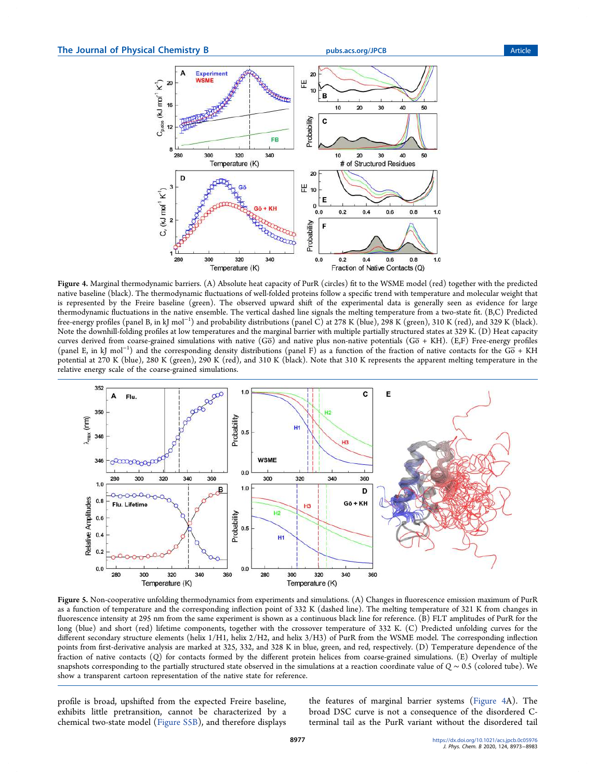

Figure 4. Marginal thermodynamic barriers. (A) Absolute heat capacity of PurR (circles) fit to the WSME model (red) together with the predicted native baseline (black). The thermodynamic fluctuations of well-folded proteins follow a specific trend with temperature and molecular weight that is represented by the Freire baseline (green). The observed upward shift of the experimental data is generally seen as evidence for large thermodynamic fluctuations in the native ensemble. The vertical dashed line signals the melting temperature from a two-state fit. (B,C) Predicted free-energy profiles (panel B, in kJ mol<sup>−1</sup>) and probability distributions (panel C) at 278 K (blue), 298 K (green), 310 K (red), and 329 K (black). Note the downhill-folding profiles at low temperatures and the marginal barrier with multiple partially structured states at 329 K. (D) Heat capacity curves derived from coarse-grained simulations with native (G<sub>O</sub>) and native plus non-native potentials (G<sub>O</sub> + KH). (E<sub>r</sub>F) Free-energy profiles (panel E, in kJ mol<sup>-1</sup>) and the corresponding density distributions (panel F) as a function of the fraction of native contacts for the  $G\overline{o}$  + KH potential at 270 K (blue), 280 K (green), 290 K (red), and 310 K (black). Note that 310 K represents the apparent melting temperature in the relative energy scale of the coarse-grained simulations.



Figure 5. Non-cooperative unfolding thermodynamics from experiments and simulations. (A) Changes in fluorescence emission maximum of PurR as a function of temperature and the corresponding inflection point of 332 K (dashed line). The melting temperature of 321 K from changes in fluorescence intensity at 295 nm from the same experiment is shown as a continuous black line for reference. (B) FLT amplitudes of PurR for the long (blue) and short (red) lifetime components, together with the crossover temperature of 332 K. (C) Predicted unfolding curves for the different secondary structure elements (helix 1/H1, helix 2/H2, and helix 3/H3) of PurR from the WSME model. The corresponding inflection points from first-derivative analysis are marked at 325, 332, and 328 K in blue, green, and red, respectively. (D) Temperature dependence of the fraction of native contacts (*Q*) for contacts formed by the different protein helices from coarse-grained simulations. (E) Overlay of multiple snapshots corresponding to the partially structured state observed in the simulations at a reaction coordinate value of *Q* ∼ 0.5 (colored tube). We show a transparent cartoon representation of the native state for reference.

profile is broad, upshifted from the expected Freire baseline, exhibits little pretransition, cannot be characterized by a chemical two-state model (Figure S5B), and therefore displays

the features of marginal barrier systems (Figure 4A). The broad DSC curve is not a consequence of the disordered Cterminal tail as the PurR variant without the disordered tail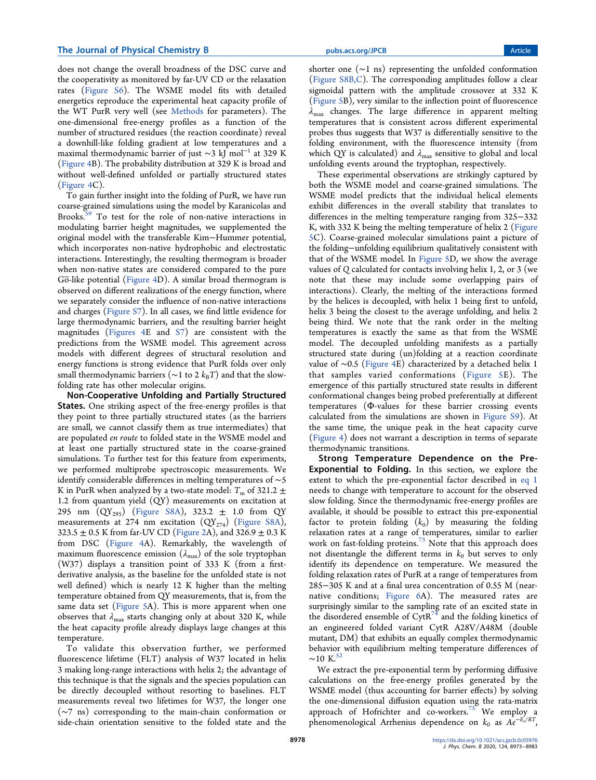does not change the overall broadness of the DSC curve and the cooperativity as monitored by far-UV CD or the relaxation rates (Figure S6). The WSME model fits with detailed energetics reproduce the experimental heat capacity profile of the WT PurR very well (see Methods for parameters). The one-dimensional free-energy profiles as a function of the number of structured residues (the reaction coordinate) reveal a downhill-like folding gradient at low temperatures and a maximal thermodynamic barrier of just ∼3 kJ mol<sup>−</sup><sup>1</sup> at 329 K (Figure 4B). The probability distribution at 329 K is broad and without well-defined unfolded or partially structured states (Figure 4C).

To gain further insight into the folding of PurR, we have run coarse-grained simulations using the model by Karanicolas and Brooks.<sup>59</sup> To test for the role of non-native interactions in modulating barrier height magnitudes, we supplemented the original model with the transferable Kim−Hummer potential, which incorporates non-native hydrophobic and electrostatic interactions. Interestingly, the resulting thermogram is broader when non-native states are considered compared to the pure Gō-like potential (Figure 4D). A similar broad thermogram is observed on different realizations of the energy function, where we separately consider the influence of non-native interactions and charges (Figure S7). In all cases, we find little evidence for large thermodynamic barriers, and the resulting barrier height magnitudes (Figures 4E and S7) are consistent with the predictions from the WSME model. This agreement across models with different degrees of structural resolution and energy functions is strong evidence that PurR folds over only small thermodynamic barriers ( $\sim$ 1 to 2  $k_BT$ ) and that the slowfolding rate has other molecular origins.

Non-Cooperative Unfolding and Partially Structured States. One striking aspect of the free-energy profiles is that they point to three partially structured states (as the barriers are small, we cannot classify them as true intermediates) that are populated *en route* to folded state in the WSME model and at least one partially structured state in the coarse-grained simulations. To further test for this feature from experiments, we performed multiprobe spectroscopic measurements. We identify considerable differences in melting temperatures of ∼5 K in PurR when analyzed by a two-state model:  $T_m$  of 321.2  $\pm$ 1.2 from quantum yield  $(QY)$  measurements on excitation at 295 nm  $(QY_{295})$  (Figure S8A), 323.2  $\pm$  1.0 from QY measurements at 274 nm excitation  $(QY_{274})$  (Figure S8A), 323.5  $\pm$  0.5 K from far-UV CD (Figure 2A), and 326.9  $\pm$  0.3 K from DSC (Figure 4A). Remarkably, the wavelength of maximum fluorescence emission  $(\lambda_{\text{max}})$  of the sole tryptophan (W37) displays a transition point of 333 K (from a firstderivative analysis, as the baseline for the unfolded state is not well defined) which is nearly 12 K higher than the melting temperature obtained from QY measurements, that is, from the same data set (Figure 5A). This is more apparent when one observes that  $\lambda_{\text{max}}$  starts changing only at about 320 K, while the heat capacity profile already displays large changes at this temperature.

To validate this observation further, we performed fluorescence lifetime (FLT) analysis of W37 located in helix 3 making long-range interactions with helix 2; the advantage of this technique is that the signals and the species population can be directly decoupled without resorting to baselines. FLT measurements reveal two lifetimes for W37, the longer one (∼7 ns) corresponding to the main-chain conformation or side-chain orientation sensitive to the folded state and the

shorter one (∼1 ns) representing the unfolded conformation (Figure S8B,C). The corresponding amplitudes follow a clear sigmoidal pattern with the amplitude crossover at 332 K (Figure 5B), very similar to the inflection point of fluorescence  $\lambda_{\text{max}}$  changes. The large difference in apparent melting temperatures that is consistent across different experimental probes thus suggests that W37 is differentially sensitive to the folding environment, with the fluorescence intensity (from which QY is calculated) and  $\lambda_{\text{max}}$  sensitive to global and local unfolding events around the tryptophan, respectively.

These experimental observations are strikingly captured by both the WSME model and coarse-grained simulations. The WSME model predicts that the individual helical elements exhibit differences in the overall stability that translates to differences in the melting temperature ranging from 325−332 K, with 332 K being the melting temperature of helix 2 (Figure 5C). Coarse-grained molecular simulations paint a picture of the folding−unfolding equilibrium qualitatively consistent with that of the WSME model. In Figure 5D, we show the average values of *Q* calculated for contacts involving helix 1, 2, or 3 (we note that these may include some overlapping pairs of interactions). Clearly, the melting of the interactions formed by the helices is decoupled, with helix 1 being first to unfold, helix 3 being the closest to the average unfolding, and helix 2 being third. We note that the rank order in the melting temperatures is exactly the same as that from the WSME model. The decoupled unfolding manifests as a partially structured state during (un)folding at a reaction coordinate value of ∼0.5 (Figure 4E) characterized by a detached helix 1 that samples varied conformations (Figure 5E). The emergence of this partially structured state results in different conformational changes being probed preferentially at different temperatures (Φ-values for these barrier crossing events calculated from the simulations are shown in Figure S9). At the same time, the unique peak in the heat capacity curve (Figure 4) does not warrant a description in terms of separate thermodynamic transitions.

Strong Temperature Dependence on the Pre-Exponential to Folding. In this section, we explore the extent to which the pre-exponential factor described in eq 1 needs to change with temperature to account for the observed slow folding. Since the thermodynamic free-energy profiles are available, it should be possible to extract this pre-exponential factor to protein folding  $(k_0)$  by measuring the folding relaxation rates at a range of temperatures, similar to earlier work on fast-folding proteins.<sup>73</sup> Note that this approach does not disentangle the different terms in  $k_0$  but serves to only identify its dependence on temperature. We measured the folding relaxation rates of PurR at a range of temperatures from 285−305 K and at a final urea concentration of 0.55 M (nearnative conditions; Figure 6A). The measured rates are surprisingly similar to the sampling rate of an excited state in the disordered ensemble of  $\text{CytR}^{74}$  and the folding kinetics of an engineered folded variant CytR A28V/A48M (double mutant, DM) that exhibits an equally complex thermodynamic behavior with equilibrium melting temperature differences of  $~10 \text{ K}^{52}$ 

We extract the pre-exponential term by performing diffusive calculations on the free-energy profiles generated by the WSME model (thus accounting for barrier effects) by solving the one-dimensional diffusion equation using the rata-matrix approach of Hofrichter and  $\cos$ -workers.<sup>75</sup> We employ a phenomenological Arrhenius dependence on  $k_0$  as  $Ae^{-E_0/RT}$ ,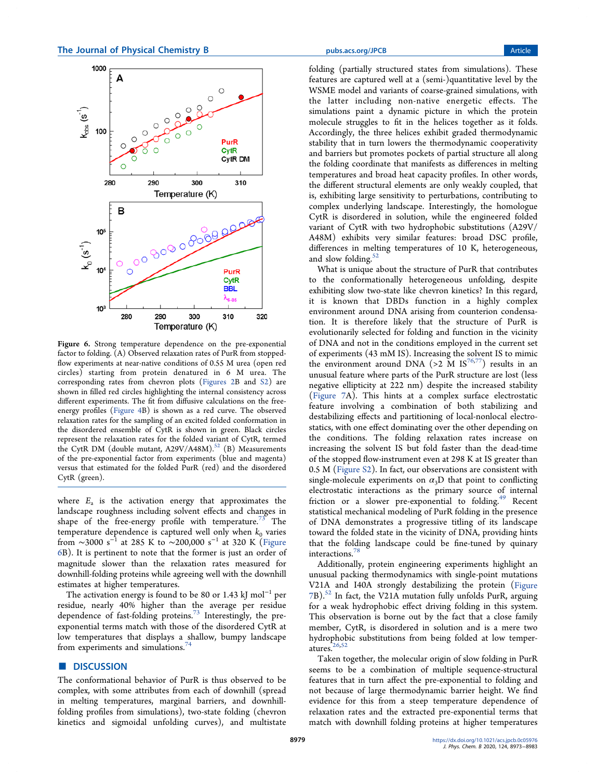

Figure 6. Strong temperature dependence on the pre-exponential factor to folding. (A) Observed relaxation rates of PurR from stoppedflow experiments at near-native conditions of 0.55 M urea (open red circles) starting from protein denatured in 6 M urea. The corresponding rates from chevron plots (Figures 2B and S2) are shown in filled red circles highlighting the internal consistency across different experiments. The fit from diffusive calculations on the freeenergy profiles (Figure 4B) is shown as a red curve. The observed relaxation rates for the sampling of an excited folded conformation in the disordered ensemble of CytR is shown in green. Black circles represent the relaxation rates for the folded variant of CytR, termed the CytR DM (double mutant, A29V/A48M).<sup>52</sup> (B) Measurements of the pre-exponential factor from experiments (blue and magenta) versus that estimated for the folded PurR (red) and the disordered CytR (green).

where *E*<sup>a</sup> is the activation energy that approximates the landscape roughness including solvent effects and changes in shape of the free-energy profile with temperature.<sup> $\frac{3}{3}$ </sup> The temperature dependence is captured well only when  $k_0$  varies from ∼3000 s<sup>−</sup><sup>1</sup> at 285 K to ∼200,000 s<sup>−</sup><sup>1</sup> at 320 K (Figure 6B). It is pertinent to note that the former is just an order of magnitude slower than the relaxation rates measured for downhill-folding proteins while agreeing well with the downhill estimates at higher temperatures.

The activation energy is found to be 80 or 1.43 kJ mol<sup>−1</sup> per residue, nearly 40% higher than the average per residue dependence of fast-folding proteins.<sup>73</sup> Interestingly, the preexponential terms match with those of the disordered CytR at low temperatures that displays a shallow, bumpy landscape from experiments and simulations.<sup>74</sup>

# ■ DISCUSSION

The conformational behavior of PurR is thus observed to be complex, with some attributes from each of downhill (spread in melting temperatures, marginal barriers, and downhillfolding profiles from simulations), two-state folding (chevron kinetics and sigmoidal unfolding curves), and multistate folding (partially structured states from simulations). These features are captured well at a (semi-)quantitative level by the WSME model and variants of coarse-grained simulations, with the latter including non-native energetic effects. The simulations paint a dynamic picture in which the protein molecule struggles to fit in the helices together as it folds. Accordingly, the three helices exhibit graded thermodynamic stability that in turn lowers the thermodynamic cooperativity and barriers but promotes pockets of partial structure all along the folding coordinate that manifests as differences in melting temperatures and broad heat capacity profiles. In other words, the different structural elements are only weakly coupled, that is, exhibiting large sensitivity to perturbations, contributing to complex underlying landscape. Interestingly, the homologue CytR is disordered in solution, while the engineered folded variant of CytR with two hydrophobic substitutions (A29V/ A48M) exhibits very similar features: broad DSC profile, differences in melting temperatures of 10 K, heterogeneous, and slow folding.<sup>52</sup>

What is unique about the structure of PurR that contributes to the conformationally heterogeneous unfolding, despite exhibiting slow two-state like chevron kinetics? In this regard, it is known that DBDs function in a highly complex environment around DNA arising from counterion condensation. It is therefore likely that the structure of PurR is evolutionarily selected for folding and function in the vicinity of DNA and not in the conditions employed in the current set of experiments (43 mM IS). Increasing the solvent IS to mimic the environment around DNA (>2 M IS<sup>76,77</sup>) results in an unusual feature where parts of the PurR structure are lost (less negative ellipticity at 222 nm) despite the increased stability (Figure 7A). This hints at a complex surface electrostatic feature involving a combination of both stabilizing and destabilizing effects and partitioning of local-nonlocal electrostatics, with one effect dominating over the other depending on the conditions. The folding relaxation rates increase on increasing the solvent IS but fold faster than the dead-time of the stopped flow-instrument even at 298 K at IS greater than 0.5 M (Figure S2). In fact, our observations are consistent with single-molecule experiments on  $\alpha_3D$  that point to conflicting electrostatic interactions as the primary source of internal friction or a slower pre-exponential to folding.<sup>49</sup> Recent statistical mechanical modeling of PurR folding in the presence of DNA demonstrates a progressive titling of its landscape toward the folded state in the vicinity of DNA, providing hints that the folding landscape could be fine-tuned by quinary interactions.<sup>78</sup>

Additionally, protein engineering experiments highlight an unusual packing thermodynamics with single-point mutations V21A and I40A strongly destabilizing the protein (Figure 7B).<sup>52</sup> In fact, the V21A mutation fully unfolds PurR, arguing for a weak hydrophobic effect driving folding in this system. This observation is borne out by the fact that a close family member, CytR, is disordered in solution and is a mere two hydrophobic substitutions from being folded at low temper $atures.<sup>26,52</sup>$ 

Taken together, the molecular origin of slow folding in PurR seems to be a combination of multiple sequence-structural features that in turn affect the pre-exponential to folding and not because of large thermodynamic barrier height. We find evidence for this from a steep temperature dependence of relaxation rates and the extracted pre-exponential terms that match with downhill folding proteins at higher temperatures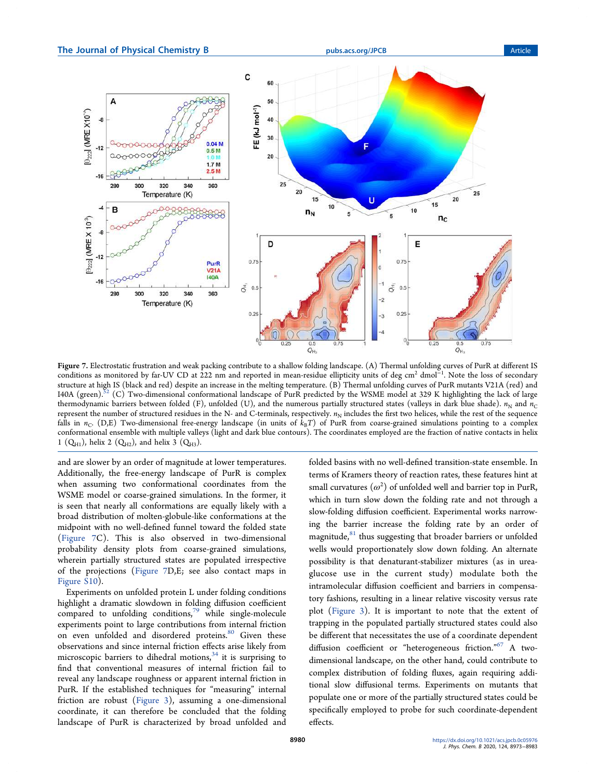$[0_{22}]$  (MRE X10<sup>-3</sup>)

 $\left[ \theta_{222}\right]$  (MRE X 10<sup>-3</sup>)



Figure 7. Electrostatic frustration and weak packing contribute to a shallow folding landscape. (A) Thermal unfolding curves of PurR at different IS conditions as monitored by far-UV CD at 222 nm and reported in mean-residue ellipticity units of deg cm<sup>2</sup> dmol<sup>-1</sup>. Note the loss of secondary structure at high IS (black and red) despite an increase in the melting temperature. (B) Thermal unfolding curves of PurR mutants V21A (red) and I40A (green).<sup>52</sup> (C) Two-dimensional conformational landscape of PurR predicted by the WSME model at 329 K highlighting the lack of large thermodynamic barriers between folded (F), unfolded (U), and the numerous partially structured states (valleys in dark blue shade).  $n_N$  and  $n_C$ represent the number of structured residues in the N- and C-terminals, respectively.  $n_N$  includes the first two helices, while the rest of the sequence falls in  $n_{C}$ . (D,E) Two-dimensional free-energy landscape (in units of  $k_{B}T$ ) of PurR from coarse-grained simulations pointing to a complex conformational ensemble with multiple valleys (light and dark blue contours). The coordinates employed are the fraction of native contacts in helix 1 ( $Q_{H1}$ ), helix 2 ( $Q_{H2}$ ), and helix 3 ( $Q_{H3}$ ).

 $Q_{\rm H}$ 

and are slower by an order of magnitude at lower temperatures. Additionally, the free-energy landscape of PurR is complex when assuming two conformational coordinates from the WSME model or coarse-grained simulations. In the former, it is seen that nearly all conformations are equally likely with a broad distribution of molten-globule-like conformations at the midpoint with no well-defined funnel toward the folded state (Figure 7C). This is also observed in two-dimensional probability density plots from coarse-grained simulations, wherein partially structured states are populated irrespective of the projections (Figure 7D,E; see also contact maps in Figure S10).

Experiments on unfolded protein L under folding conditions highlight a dramatic slowdown in folding diffusion coefficient compared to unfolding conditions,<sup>79</sup> while single-molecule experiments point to large contributions from internal friction on even unfolded and disordered proteins.<sup>80</sup> Given these observations and since internal friction effects arise likely from microscopic barriers to dihedral motions, $34$  it is surprising to find that conventional measures of internal friction fail to reveal any landscape roughness or apparent internal friction in PurR. If the established techniques for "measuring" internal friction are robust (Figure 3), assuming a one-dimensional coordinate, it can therefore be concluded that the folding landscape of PurR is characterized by broad unfolded and

folded basins with no well-defined transition-state ensemble. In terms of Kramers theory of reaction rates, these features hint at small curvatures  $(\omega^2)$  of unfolded well and barrier top in PurR, which in turn slow down the folding rate and not through a slow-folding diffusion coefficient. Experimental works narrowing the barrier increase the folding rate by an order of magnitude, $81$  thus suggesting that broader barriers or unfolded wells would proportionately slow down folding. An alternate possibility is that denaturant-stabilizer mixtures (as in ureaglucose use in the current study) modulate both the intramolecular diffusion coefficient and barriers in compensatory fashions, resulting in a linear relative viscosity versus rate plot (Figure 3). It is important to note that the extent of trapping in the populated partially structured states could also be different that necessitates the use of a coordinate dependent diffusion coefficient or "heterogeneous friction."<sup>67</sup> A twodimensional landscape, on the other hand, could contribute to complex distribution of folding fluxes, again requiring additional slow diffusional terms. Experiments on mutants that populate one or more of the partially structured states could be specifically employed to probe for such coordinate-dependent effects.

 $Q_{\rm H}$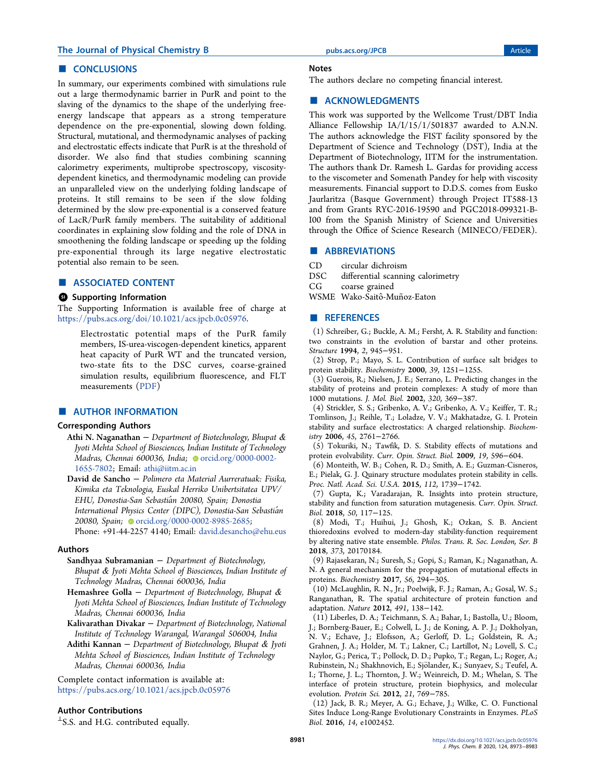# ■ CONCLUSIONS

In summary, our experiments combined with simulations rule out a large thermodynamic barrier in PurR and point to the slaving of the dynamics to the shape of the underlying freeenergy landscape that appears as a strong temperature dependence on the pre-exponential, slowing down folding. Structural, mutational, and thermodynamic analyses of packing and electrostatic effects indicate that PurR is at the threshold of disorder. We also find that studies combining scanning calorimetry experiments, multiprobe spectroscopy, viscositydependent kinetics, and thermodynamic modeling can provide an unparalleled view on the underlying folding landscape of proteins. It still remains to be seen if the slow folding determined by the slow pre-exponential is a conserved feature of LacR/PurR family members. The suitability of additional coordinates in explaining slow folding and the role of DNA in smoothening the folding landscape or speeding up the folding pre-exponential through its large negative electrostatic potential also remain to be seen.

# ■ ASSOCIATED CONTENT

### **<sup>3</sup>** Supporting Information

The Supporting Information is available free of charge at https://pubs.acs.org/doi/10.1021/acs.jpcb.0c05976.

Electrostatic potential maps of the PurR family members, IS-urea-viscogen-dependent kinetics, apparent heat capacity of PurR WT and the truncated version, two-state fits to the DSC curves, coarse-grained simulation results, equilibrium fluorescence, and FLT measurements (PDF)

# ■ AUTHOR INFORMATION

# Corresponding Authors

- Athi N. Naganathan  $-$  Department of Biotechnology, Bhupat  $\&$ Jyoti Mehta School of Biosciences, Indian Institute of Technology Madras, Chennai 600036, India; orcid.org/0000-0002-1655-7802; Email: athi@iitm.ac.in
- David de Sancho − Polimero eta Material Aurreratuak: Fisika, Kimika eta Teknologia, Euskal Herriko Unibertsitatea UPV/ EHU, Donostia-San Sebastian 20080, Spain; Donostia ́ International Physics Center (DIPC), Donostia-San Sebastiań 20080, Spain; orcid.org/0000-0002-8985-2685; Phone: +91-44-2257 4140; Email: david.desancho@ehu.eus

#### Authors

- Sandhyaa Subramanian  $-Department$  of Biotechnology, Bhupat & Jyoti Mehta School of Biosciences, Indian Institute of Technology Madras, Chennai 600036, India
- Hemashree Golla  $-$  Department of Biotechnology, Bhupat & Jyoti Mehta School of Biosciences, Indian Institute of Technology Madras, Chennai 600036, India
- Kalivarathan Divakar − Department of Biotechnology, National Institute of Technology Warangal, Warangal 506004, India
- Adithi Kannan Department of Biotechnology, Bhupat & Jyoti Mehta School of Biosciences, Indian Institute of Technology Madras, Chennai 600036, India

Complete contact information is available at: https://pubs.acs.org/10.1021/acs.jpcb.0c05976

# Author Contributions

⊥ S.S. and H.G. contributed equally.

# **Notes**

The authors declare no competing financial interest.

# ■ ACKNOWLEDGMENTS

This work was supported by the Wellcome Trust/DBT India Alliance Fellowship IA/I/15/1/501837 awarded to A.N.N. The authors acknowledge the FIST facility sponsored by the Department of Science and Technology (DST), India at the Department of Biotechnology, IITM for the instrumentation. The authors thank Dr. Ramesh L. Gardas for providing access to the viscometer and Somenath Pandey for help with viscosity measurements. Financial support to D.D.S. comes from Eusko Jaurlaritza (Basque Government) through Project IT588-13 and from Grants RYC-2016-19590 and PGC2018-099321-B-I00 from the Spanish Ministry of Science and Universities through the Office of Science Research (MINECO/FEDER).

# ■ ABBREVIATIONS

CD circular dichroism

DSC differential scanning calorimetry<br>CG coarse grained

coarse grained

WSME Wako-Saitô-Muñoz-Eaton

#### ■ REFERENCES

(1) Schreiber, G.; Buckle, A. M.; Fersht, A. R. Stability and function: two constraints in the evolution of barstar and other proteins. *Structure* 1994, *2*, 945−951.

(2) Strop, P.; Mayo, S. L. Contribution of surface salt bridges to protein stability. *Biochemistry* 2000, *39*, 1251−1255.

(3) Guerois, R.; Nielsen, J. E.; Serrano, L. Predicting changes in the stability of proteins and protein complexes: A study of more than 1000 mutations. *J. Mol. Biol.* 2002, *320*, 369−387.

(4) Strickler, S. S.; Gribenko, A. V.; Gribenko, A. V.; Keiffer, T. R.; Tomlinson, J.; Reihle, T.; Loladze, V. V.; Makhatadze, G. I. Protein stability and surface electrostatics: A charged relationship. *Biochemistry* 2006, *45*, 2761−2766.

(5) Tokuriki, N.; Tawfik, D. S. Stability effects of mutations and protein evolvability. *Curr. Opin. Struct. Biol.* 2009, *19*, 596−604.

(6) Monteith, W. B.; Cohen, R. D.; Smith, A. E.; Guzman-Cisneros, E.; Pielak, G. J. Quinary structure modulates protein stability in cells. *Proc. Natl. Acad. Sci. U.S.A.* 2015, *112*, 1739−1742.

(7) Gupta, K.; Varadarajan, R. Insights into protein structure, stability and function from saturation mutagenesis. *Curr. Opin. Struct. Biol.* 2018, *50*, 117−125.

(8) Modi, T.; Huihui, J.; Ghosh, K.; Ozkan, S. B. Ancient thioredoxins evolved to modern-day stability-function requirement by altering native state ensemble. *Philos. Trans. R. Soc. London, Ser. B* 2018, *373*, 20170184.

(9) Rajasekaran, N.; Suresh, S.; Gopi, S.; Raman, K.; Naganathan, A. N. A general mechanism for the propagation of mutational effects in proteins. *Biochemistry* 2017, *56*, 294−305.

(10) McLaughlin, R. N., Jr.; Poelwijk, F. J.; Raman, A.; Gosal, W. S.; Ranganathan, R. The spatial architecture of protein function and adaptation. *Nature* 2012, *491*, 138−142.

(11) Liberles, D. A.; Teichmann, S. A.; Bahar, I.; Bastolla, U.; Bloom, J.; Bornberg-Bauer, E.; Colwell, L. J.; de Koning, A. P. J.; Dokholyan, N. V.; Echave, J.; Elofsson, A.; Gerloff, D. L.; Goldstein, R. A.; Grahnen, J. A.; Holder, M. T.; Lakner, C.; Lartillot, N.; Lovell, S. C.; Naylor, G.; Perica, T.; Pollock, D. D.; Pupko, T.; Regan, L.; Roger, A.; Rubinstein, N.; Shakhnovich, E.; Sjölander, K.; Sunyaev, S.; Teufel, A. I.; Thorne, J. L.; Thornton, J. W.; Weinreich, D. M.; Whelan, S. The interface of protein structure, protein biophysics, and molecular evolution. *Protein Sci.* 2012, *21*, 769−785.

(12) Jack, B. R.; Meyer, A. G.; Echave, J.; Wilke, C. O. Functional Sites Induce Long-Range Evolutionary Constraints in Enzymes. *PLoS Biol.* 2016, *14*, e1002452.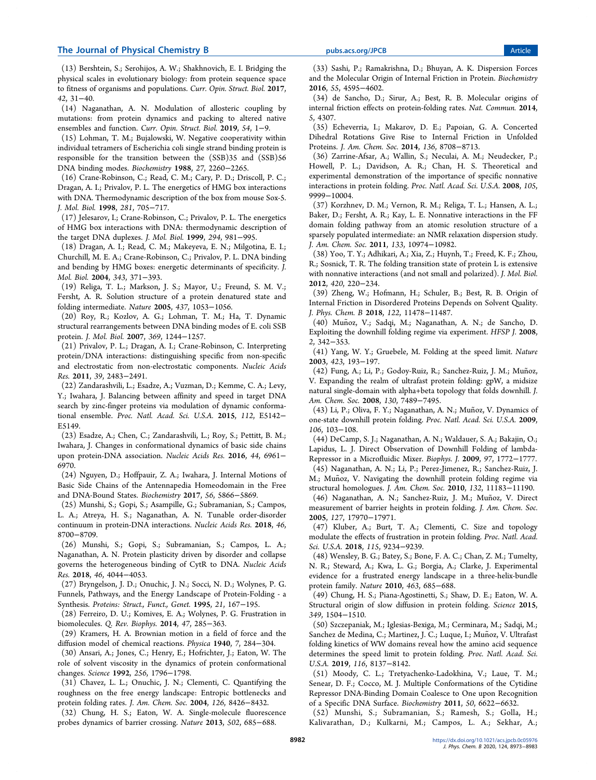(13) Bershtein, S.; Serohijos, A. W.; Shakhnovich, E. I. Bridging the physical scales in evolutionary biology: from protein sequence space to fitness of organisms and populations. *Curr. Opin. Struct. Biol.* 2017, *42*, 31−40.

(14) Naganathan, A. N. Modulation of allosteric coupling by mutations: from protein dynamics and packing to altered native ensembles and function. *Curr. Opin. Struct. Biol.* 2019, *54*, 1−9.

(15) Lohman, T. M.; Bujalowski, W. Negative cooperativity within individual tetramers of Escherichia coli single strand binding protein is responsible for the transition between the (SSB)35 and (SSB)56 DNA binding modes. *Biochemistry* 1988, *27*, 2260−2265.

(16) Crane-Robinson, C.; Read, C. M.; Cary, P. D.; Driscoll, P. C.; Dragan, A. I.; Privalov, P. L. The energetics of HMG box interactions with DNA. Thermodynamic description of the box from mouse Sox-5. *J. Mol. Biol.* 1998, *281*, 705−717.

(17) Jelesarov, I.; Crane-Robinson, C.; Privalov, P. L. The energetics of HMG box interactions with DNA: thermodynamic description of the target DNA duplexes. *J. Mol. Biol.* 1999, *294*, 981−995.

(18) Dragan, A. I.; Read, C. M.; Makeyeva, E. N.; Milgotina, E. I.; Churchill, M. E. A.; Crane-Robinson, C.; Privalov, P. L. DNA binding and bending by HMG boxes: energetic determinants of specificity. *J. Mol. Biol.* 2004, *343*, 371−393.

(19) Religa, T. L.; Markson, J. S.; Mayor, U.; Freund, S. M. V.; Fersht, A. R. Solution structure of a protein denatured state and folding intermediate. *Nature* 2005, *437*, 1053−1056.

(20) Roy, R.; Kozlov, A. G.; Lohman, T. M.; Ha, T. Dynamic structural rearrangements between DNA binding modes of E. coli SSB protein. *J. Mol. Biol.* 2007, *369*, 1244−1257.

(21) Privalov, P. L.; Dragan, A. I.; Crane-Robinson, C. Interpreting protein/DNA interactions: distinguishing specific from non-specific and electrostatic from non-electrostatic components. *Nucleic Acids Res.* 2011, *39*, 2483−2491.

(22) Zandarashvili, L.; Esadze, A.; Vuzman, D.; Kemme, C. A.; Levy, Y.; Iwahara, J. Balancing between affinity and speed in target DNA search by zinc-finger proteins via modulation of dynamic conformational ensemble. *Proc. Natl. Acad. Sci. U.S.A.* 2015, *112*, E5142− E5149.

(23) Esadze, A.; Chen, C.; Zandarashvili, L.; Roy, S.; Pettitt, B. M.; Iwahara, J. Changes in conformational dynamics of basic side chains upon protein-DNA association. *Nucleic Acids Res.* 2016, *44*, 6961− 6970.

(24) Nguyen, D.; Hoffpauir, Z. A.; Iwahara, J. Internal Motions of Basic Side Chains of the Antennapedia Homeodomain in the Free and DNA-Bound States. *Biochemistry* 2017, *56*, 5866−5869.

(25) Munshi, S.; Gopi, S.; Asampille, G.; Subramanian, S.; Campos, L. A.; Atreya, H. S.; Naganathan, A. N. Tunable order-disorder continuum in protein-DNA interactions. *Nucleic Acids Res.* 2018, *46*, 8700−8709.

(26) Munshi, S.; Gopi, S.; Subramanian, S.; Campos, L. A.; Naganathan, A. N. Protein plasticity driven by disorder and collapse governs the heterogeneous binding of CytR to DNA. *Nucleic Acids Res.* 2018, *46*, 4044−4053.

(27) Bryngelson, J. D.; Onuchic, J. N.; Socci, N. D.; Wolynes, P. G. Funnels, Pathways, and the Energy Landscape of Protein-Folding - a Synthesis. *Proteins: Struct., Funct., Genet.* 1995, *21*, 167−195.

(28) Ferreiro, D. U.; Komives, E. A.; Wolynes, P. G. Frustration in biomolecules. *Q. Rev. Biophys.* 2014, *47*, 285−363.

(29) Kramers, H. A. Brownian motion in a field of force and the diffusion model of chemical reactions. *Physica* 1940, *7*, 284−304.

(30) Ansari, A.; Jones, C.; Henry, E.; Hofrichter, J.; Eaton, W. The role of solvent viscosity in the dynamics of protein conformational changes. *Science* 1992, *256*, 1796−1798.

(31) Chavez, L. L.; Onuchic, J. N.; Clementi, C. Quantifying the roughness on the free energy landscape: Entropic bottlenecks and protein folding rates. *J. Am. Chem. Soc.* 2004, *126*, 8426−8432.

(32) Chung, H. S.; Eaton, W. A. Single-molecule fluorescence probes dynamics of barrier crossing. *Nature* 2013, *502*, 685−688.

(33) Sashi, P.; Ramakrishna, D.; Bhuyan, A. K. Dispersion Forces and the Molecular Origin of Internal Friction in Protein. *Biochemistry* 2016, *55*, 4595−4602.

(34) de Sancho, D.; Sirur, A.; Best, R. B. Molecular origins of internal friction effects on protein-folding rates. *Nat. Commun.* 2014, *5*, 4307.

(35) Echeverria, I.; Makarov, D. E.; Papoian, G. A. Concerted Dihedral Rotations Give Rise to Internal Friction in Unfolded Proteins. *J. Am. Chem. Soc.* 2014, *136*, 8708−8713.

(36) Zarrine-Afsar, A.; Wallin, S.; Neculai, A. M.; Neudecker, P.; Howell, P. L.; Davidson, A. R.; Chan, H. S. Theoretical and experimental demonstration of the importance of specific nonnative interactions in protein folding. *Proc. Natl. Acad. Sci. U.S.A.* 2008, *105*, 9999−10004.

(37) Korzhnev, D. M.; Vernon, R. M.; Religa, T. L.; Hansen, A. L.; Baker, D.; Fersht, A. R.; Kay, L. E. Nonnative interactions in the FF domain folding pathway from an atomic resolution structure of a sparsely populated intermediate: an NMR relaxation dispersion study. *J. Am. Chem. Soc.* 2011, *133*, 10974−10982.

(38) Yoo, T. Y.; Adhikari, A.; Xia, Z.; Huynh, T.; Freed, K. F.; Zhou, R.; Sosnick, T. R. The folding transition state of protein L is extensive with nonnative interactions (and not small and polarized). *J. Mol. Biol.* 2012, *420*, 220−234.

(39) Zheng, W.; Hofmann, H.; Schuler, B.; Best, R. B. Origin of Internal Friction in Disordered Proteins Depends on Solvent Quality. *J. Phys. Chem. B* 2018, *122*, 11478−11487.

(40) Muñoz, V.; Sadqi, M.; Naganathan, A. N.; de Sancho, D. Exploiting the downhill folding regime via experiment. *HFSP J.* 2008, *2*, 342−353.

(41) Yang, W. Y.; Gruebele, M. Folding at the speed limit. *Nature* 2003, *423*, 193−197.

(42) Fung, A.; Li, P.; Godoy-Ruiz, R.; Sanchez-Ruiz, J. M.; Muñoz, V. Expanding the realm of ultrafast protein folding: gpW, a midsize natural single-domain with alpha+beta topology that folds downhill. *J. Am. Chem. Soc.* 2008, *130*, 7489−7495.

(43) Li, P.; Oliva, F. Y.; Naganathan, A. N.; Muñoz, V. Dynamics of one-state downhill protein folding. *Proc. Natl. Acad. Sci. U.S.A.* 2009, *106*, 103−108.

(44) DeCamp, S. J.; Naganathan, A. N.; Waldauer, S. A.; Bakajin, O.; Lapidus, L. J. Direct Observation of Downhill Folding of lambda-Repressor in a Microfluidic Mixer. *Biophys. J.* 2009, *97*, 1772−1777.

(45) Naganathan, A. N.; Li, P.; Perez-Jimenez, R.; Sanchez-Ruiz, J. M.; Muñoz, V. Navigating the downhill protein folding regime via structural homologues. *J. Am. Chem. Soc.* 2010, *132*, 11183−11190.

(46) Naganathan, A. N.; Sanchez-Ruiz, J. M.; Muñoz, V. Direct measurement of barrier heights in protein folding. *J. Am. Chem. Soc.* 2005, *127*, 17970−17971.

(47) Kluber, A.; Burt, T. A.; Clementi, C. Size and topology modulate the effects of frustration in protein folding. *Proc. Natl. Acad. Sci. U.S.A.* 2018, *115*, 9234−9239.

(48) Wensley, B. G.; Batey, S.; Bone, F. A. C.; Chan, Z. M.; Tumelty, N. R.; Steward, A.; Kwa, L. G.; Borgia, A.; Clarke, J. Experimental evidence for a frustrated energy landscape in a three-helix-bundle protein family. *Nature* 2010, *463*, 685−688.

(49) Chung, H. S.; Piana-Agostinetti, S.; Shaw, D. E.; Eaton, W. A. Structural origin of slow diffusion in protein folding. *Science* 2015, *349*, 1504−1510.

(50) Szczepaniak, M.; Iglesias-Bexiga, M.; Cerminara, M.; Sadqi, M.; Sanchez de Medina, C.; Martinez, J. C.; Luque, I.; Muñoz, V. Ultrafast folding kinetics of WW domains reveal how the amino acid sequence determines the speed limit to protein folding. *Proc. Natl. Acad. Sci. U.S.A.* 2019, *116*, 8137−8142.

(51) Moody, C. L.; Tretyachenko-Ladokhina, V.; Laue, T. M.; Senear, D. F.; Cocco, M. J. Multiple Conformations of the Cytidine Repressor DNA-Binding Domain Coalesce to One upon Recognition of a Specific DNA Surface. *Biochemistry* 2011, *50*, 6622−6632.

(52) Munshi, S.; Subramanian, S.; Ramesh, S.; Golla, H.; Kalivarathan, D.; Kulkarni, M.; Campos, L. A.; Sekhar, A.;